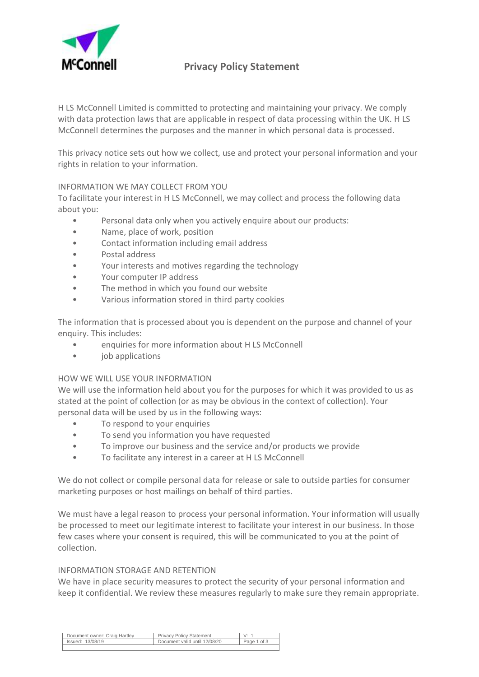

## **FConnell** Privacy Policy Statement

H LS McConnell Limited is committed to protecting and maintaining your privacy. We comply with data protection laws that are applicable in respect of data processing within the UK. H LS McConnell determines the purposes and the manner in which personal data is processed.

This privacy notice sets out how we collect, use and protect your personal information and your rights in relation to your information.

### INFORMATION WE MAY COLLECT FROM YOU

To facilitate your interest in H LS McConnell, we may collect and process the following data about you:

- Personal data only when you actively enquire about our products:
- Name, place of work, position
- Contact information including email address
- Postal address
- Your interests and motives regarding the technology
- Your computer IP address
- The method in which you found our website
- Various information stored in third party cookies

The information that is processed about you is dependent on the purpose and channel of your enquiry. This includes:

- enquiries for more information about H LS McConnell
- job applications

### HOW WE WILL USE YOUR INFORMATION

We will use the information held about you for the purposes for which it was provided to us as stated at the point of collection (or as may be obvious in the context of collection). Your personal data will be used by us in the following ways:

- To respond to your enquiries
- To send you information you have requested
- To improve our business and the service and/or products we provide
- To facilitate any interest in a career at H LS McConnell

We do not collect or compile personal data for release or sale to outside parties for consumer marketing purposes or host mailings on behalf of third parties.

We must have a legal reason to process your personal information. Your information will usually be processed to meet our legitimate interest to facilitate your interest in our business. In those few cases where your consent is required, this will be communicated to you at the point of collection.

### INFORMATION STORAGE AND RETENTION

We have in place security measures to protect the security of your personal information and keep it confidential. We review these measures regularly to make sure they remain appropriate.

| Document owner: Craig Hartley | <b>Privacy Policy Statement</b> | V.          |
|-------------------------------|---------------------------------|-------------|
| Issued: 13/08/19              | Document valid until 12/08/20   | Page 1 of 3 |
|                               |                                 |             |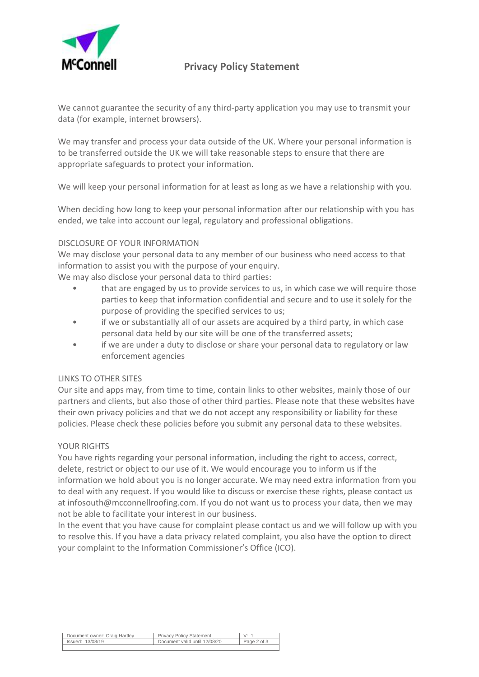

## **Privacy Policy Statement**

We cannot guarantee the security of any third-party application you may use to transmit your data (for example, internet browsers).

We may transfer and process your data outside of the UK. Where your personal information is to be transferred outside the UK we will take reasonable steps to ensure that there are appropriate safeguards to protect your information.

We will keep your personal information for at least as long as we have a relationship with you.

When deciding how long to keep your personal information after our relationship with you has ended, we take into account our legal, regulatory and professional obligations.

### DISCLOSURE OF YOUR INFORMATION

We may disclose your personal data to any member of our business who need access to that information to assist you with the purpose of your enquiry.

We may also disclose your personal data to third parties:

- that are engaged by us to provide services to us, in which case we will require those parties to keep that information confidential and secure and to use it solely for the purpose of providing the specified services to us;
- if we or substantially all of our assets are acquired by a third party, in which case personal data held by our site will be one of the transferred assets;
- if we are under a duty to disclose or share your personal data to regulatory or law enforcement agencies

### LINKS TO OTHER SITES

Our site and apps may, from time to time, contain links to other websites, mainly those of our partners and clients, but also those of other third parties. Please note that these websites have their own privacy policies and that we do not accept any responsibility or liability for these policies. Please check these policies before you submit any personal data to these websites.

### YOUR RIGHTS

You have rights regarding your personal information, including the right to access, correct, delete, restrict or object to our use of it. We would encourage you to inform us if the information we hold about you is no longer accurate. We may need extra information from you to deal with any request. If you would like to discuss or exercise these rights, please contact us at infosouth@mcconnellroofing.com. If you do not want us to process your data, then we may not be able to facilitate your interest in our business.

In the event that you have cause for complaint please contact us and we will follow up with you to resolve this. If you have a data privacy related complaint, you also have the option to direct your complaint to the Information Commissioner's Office (ICO).

| Document owner: Craig Hartley | <b>Privacy Policy Statement</b> |             |
|-------------------------------|---------------------------------|-------------|
| Issued: 13/08/19              | Document valid until 12/08/20   | Page 2 of 3 |
|                               |                                 |             |